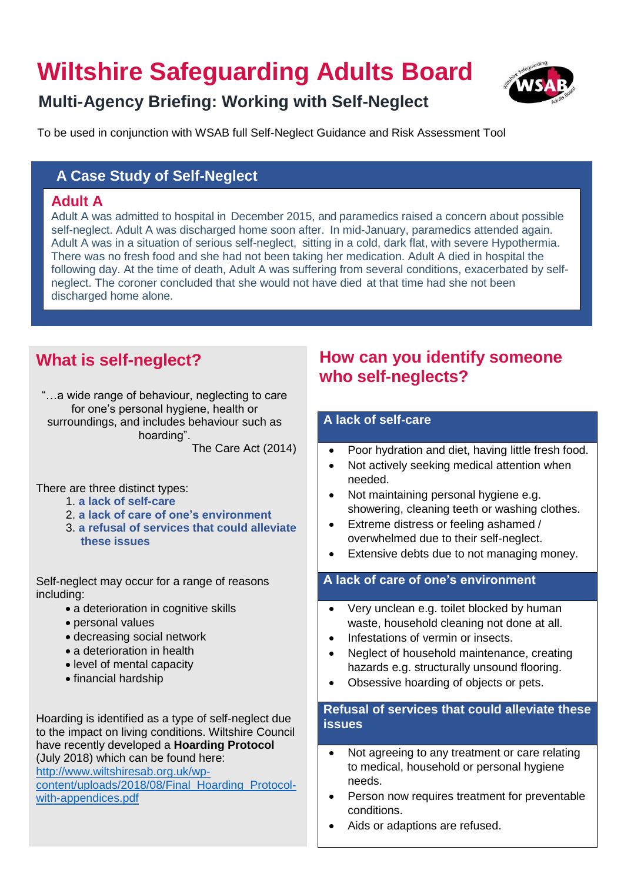# **Wiltshire Safeguarding Adults Board**



# **Multi-Agency Briefing: Working with Self-Neglect**

To be used in conjunction with WSAB full Self-Neglect Guidance and Risk Assessment Tool

### **A Case Study of Self-Neglect**

### **Adult A**

Adult A was admitted to hospital in December 2015, and paramedics raised a concern about possible self-neglect. Adult A was discharged home soon after. In mid-January, paramedics attended again. Adult A was in a situation of serious self-neglect, sitting in a cold, dark flat, with severe Hypothermia. There was no fresh food and she had not been taking her medication. Adult A died in hospital the following day. At the time of death, Adult A was suffering from several conditions, exacerbated by selfneglect. The coroner concluded that she would not have died at that time had she not been discharged home alone.

# **What is self-neglect?**

"…a wide range of behaviour, neglecting to care for one's personal hygiene, health or surroundings, and includes behaviour such as hoarding".

The Care Act (2014)

There are three distinct types:

- 1. **a lack of self-care**
- 2. **a lack of care of one's environment**
- 3. **a refusal of services that could alleviate these issues**

Self-neglect may occur for a range of reasons including:

- a deterioration in cognitive skills
- personal values
- decreasing social network
- a deterioration in health
- level of mental capacity
- financial hardship

Hoarding is identified as a type of self-neglect due to the impact on living conditions. Wiltshire Council have recently developed a **Hoarding Protocol** (July 2018) which can be found here:

[http://www.wiltshiresab.org.uk/wp-](http://www.wiltshiresab.org.uk/wp-content/uploads/2018/08/Final_Hoarding_Protocol-with-appendices.pdf)

[content/uploads/2018/08/Final\\_Hoarding\\_Protocol](http://www.wiltshiresab.org.uk/wp-content/uploads/2018/08/Final_Hoarding_Protocol-with-appendices.pdf)[with-appendices.pdf](http://www.wiltshiresab.org.uk/wp-content/uploads/2018/08/Final_Hoarding_Protocol-with-appendices.pdf) 

## **How can you identify someone who self-neglects?**

### **A lack of self-care**

- Poor hydration and diet, having little fresh food.
	- Not actively seeking medical attention when needed.
- Not maintaining personal hygiene e.g. showering, cleaning teeth or washing clothes.
- Extreme distress or feeling ashamed / overwhelmed due to their self-neglect.
- Extensive debts due to not managing money.

### **A lack of care of one's environment**

- Very unclean e.g. toilet blocked by human waste, household cleaning not done at all.
- Infestations of vermin or insects.
- Neglect of household maintenance, creating hazards e.g. structurally unsound flooring.
- Obsessive hoarding of objects or pets.

### **Refusal of services that could alleviate these issues**

- Not agreeing to any treatment or care relating to medical, household or personal hygiene needs.
- Person now requires treatment for preventable conditions.
- Aids or adaptions are refused.